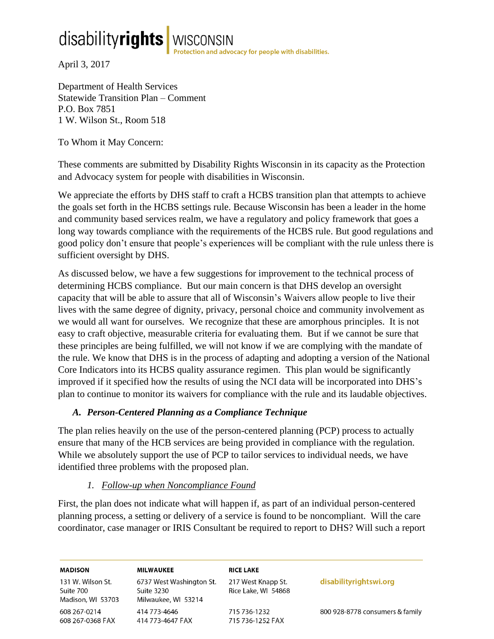# disabilityrights WISCONSIN<br>April 3, 2017

Department of Health Services Statewide Transition Plan – Comment P.O. Box 7851 1 W. Wilson St., Room 518

To Whom it May Concern:

These comments are submitted by Disability Rights Wisconsin in its capacity as the Protection and Advocacy system for people with disabilities in Wisconsin.

We appreciate the efforts by DHS staff to craft a HCBS transition plan that attempts to achieve the goals set forth in the HCBS settings rule. Because Wisconsin has been a leader in the home and community based services realm, we have a regulatory and policy framework that goes a long way towards compliance with the requirements of the HCBS rule. But good regulations and good policy don't ensure that people's experiences will be compliant with the rule unless there is sufficient oversight by DHS.

As discussed below, we have a few suggestions for improvement to the technical process of determining HCBS compliance. But our main concern is that DHS develop an oversight capacity that will be able to assure that all of Wisconsin's Waivers allow people to live their lives with the same degree of dignity, privacy, personal choice and community involvement as we would all want for ourselves. We recognize that these are amorphous principles. It is not easy to craft objective, measurable criteria for evaluating them. But if we cannot be sure that these principles are being fulfilled, we will not know if we are complying with the mandate of the rule. We know that DHS is in the process of adapting and adopting a version of the National Core Indicators into its HCBS quality assurance regimen. This plan would be significantly improved if it specified how the results of using the NCI data will be incorporated into DHS's plan to continue to monitor its waivers for compliance with the rule and its laudable objectives.

### *A. Person-Centered Planning as a Compliance Technique*

The plan relies heavily on the use of the person-centered planning (PCP) process to actually ensure that many of the HCB services are being provided in compliance with the regulation. While we absolutely support the use of PCP to tailor services to individual needs, we have identified three problems with the proposed plan.

### *1. Follow-up when Noncompliance Found*

First, the plan does not indicate what will happen if, as part of an individual person-centered planning process, a setting or delivery of a service is found to be noncompliant. Will the care coordinator, case manager or IRIS Consultant be required to report to DHS? Will such a report

| <b>MADISON</b>                                      | <b>MILWAUKEE</b>                                              | <b>RICE LAKE</b>                          |                                 |
|-----------------------------------------------------|---------------------------------------------------------------|-------------------------------------------|---------------------------------|
| 131 W. Wilson St.<br>Suite 700<br>Madison, WI 53703 | 6737 West Washington St.<br>Suite 3230<br>Milwaukee, WI 53214 | 217 West Knapp St.<br>Rice Lake, WI 54868 | disabilityrightswi.org          |
| 608 267-0214<br>608 267-0368 FAX                    | 414 773-4646<br>414 773-4647 FAX                              | 715 736-1232<br>715 736-1252 FAX          | 800 928-8778 consumers & family |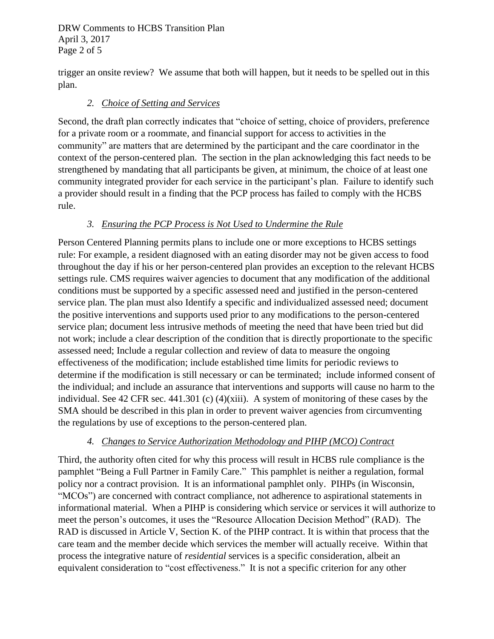DRW Comments to HCBS Transition Plan April 3, 2017 Page 2 of 5

trigger an onsite review? We assume that both will happen, but it needs to be spelled out in this plan.

## *2. Choice of Setting and Services*

Second, the draft plan correctly indicates that "choice of setting, choice of providers, preference for a private room or a roommate, and financial support for access to activities in the community" are matters that are determined by the participant and the care coordinator in the context of the person-centered plan. The section in the plan acknowledging this fact needs to be strengthened by mandating that all participants be given, at minimum, the choice of at least one community integrated provider for each service in the participant's plan. Failure to identify such a provider should result in a finding that the PCP process has failed to comply with the HCBS rule.

## *3. Ensuring the PCP Process is Not Used to Undermine the Rule*

Person Centered Planning permits plans to include one or more exceptions to HCBS settings rule: For example, a resident diagnosed with an eating disorder may not be given access to food throughout the day if his or her person-centered plan provides an exception to the relevant HCBS settings rule. CMS requires waiver agencies to document that any modification of the additional conditions must be supported by a specific assessed need and justified in the person-centered service plan. The plan must also Identify a specific and individualized assessed need; document the positive interventions and supports used prior to any modifications to the person-centered service plan; document less intrusive methods of meeting the need that have been tried but did not work; include a clear description of the condition that is directly proportionate to the specific assessed need; Include a regular collection and review of data to measure the ongoing effectiveness of the modification; include established time limits for periodic reviews to determine if the modification is still necessary or can be terminated; include informed consent of the individual; and include an assurance that interventions and supports will cause no harm to the individual. See 42 CFR sec. 441.301 (c) (4)(xiii). A system of monitoring of these cases by the SMA should be described in this plan in order to prevent waiver agencies from circumventing the regulations by use of exceptions to the person-centered plan.

## *4. Changes to Service Authorization Methodology and PIHP (MCO) Contract*

Third, the authority often cited for why this process will result in HCBS rule compliance is the pamphlet "Being a Full Partner in Family Care." This pamphlet is neither a regulation, formal policy nor a contract provision. It is an informational pamphlet only. PIHPs (in Wisconsin, "MCOs") are concerned with contract compliance, not adherence to aspirational statements in informational material. When a PIHP is considering which service or services it will authorize to meet the person's outcomes, it uses the "Resource Allocation Decision Method" (RAD). The RAD is discussed in Article V, Section K. of the PIHP contract. It is within that process that the care team and the member decide which services the member will actually receive. Within that process the integrative nature of *residential* services is a specific consideration, albeit an equivalent consideration to "cost effectiveness." It is not a specific criterion for any other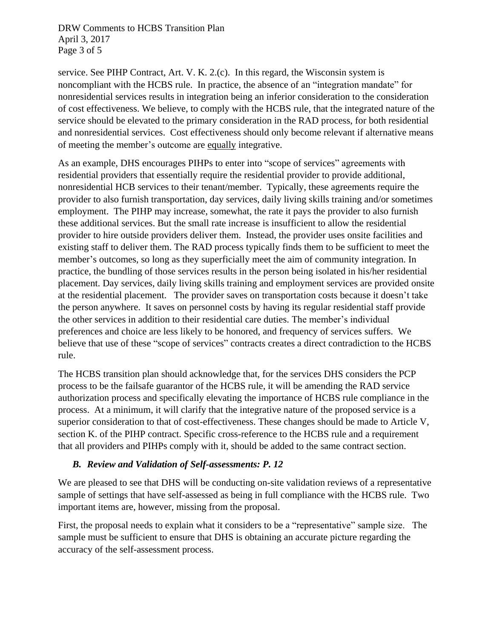DRW Comments to HCBS Transition Plan April 3, 2017 Page 3 of 5

service. See PIHP Contract, Art. V. K. 2.(c). In this regard, the Wisconsin system is noncompliant with the HCBS rule. In practice, the absence of an "integration mandate" for nonresidential services results in integration being an inferior consideration to the consideration of cost effectiveness. We believe, to comply with the HCBS rule, that the integrated nature of the service should be elevated to the primary consideration in the RAD process, for both residential and nonresidential services. Cost effectiveness should only become relevant if alternative means of meeting the member's outcome are equally integrative.

As an example, DHS encourages PIHPs to enter into "scope of services" agreements with residential providers that essentially require the residential provider to provide additional, nonresidential HCB services to their tenant/member. Typically, these agreements require the provider to also furnish transportation, day services, daily living skills training and/or sometimes employment. The PIHP may increase, somewhat, the rate it pays the provider to also furnish these additional services. But the small rate increase is insufficient to allow the residential provider to hire outside providers deliver them. Instead, the provider uses onsite facilities and existing staff to deliver them. The RAD process typically finds them to be sufficient to meet the member's outcomes, so long as they superficially meet the aim of community integration. In practice, the bundling of those services results in the person being isolated in his/her residential placement. Day services, daily living skills training and employment services are provided onsite at the residential placement. The provider saves on transportation costs because it doesn't take the person anywhere. It saves on personnel costs by having its regular residential staff provide the other services in addition to their residential care duties. The member's individual preferences and choice are less likely to be honored, and frequency of services suffers. We believe that use of these "scope of services" contracts creates a direct contradiction to the HCBS rule.

The HCBS transition plan should acknowledge that, for the services DHS considers the PCP process to be the failsafe guarantor of the HCBS rule, it will be amending the RAD service authorization process and specifically elevating the importance of HCBS rule compliance in the process. At a minimum, it will clarify that the integrative nature of the proposed service is a superior consideration to that of cost-effectiveness. These changes should be made to Article V, section K. of the PIHP contract. Specific cross-reference to the HCBS rule and a requirement that all providers and PIHPs comply with it, should be added to the same contract section.

### *B. Review and Validation of Self-assessments: P. 12*

We are pleased to see that DHS will be conducting on-site validation reviews of a representative sample of settings that have self-assessed as being in full compliance with the HCBS rule. Two important items are, however, missing from the proposal.

First, the proposal needs to explain what it considers to be a "representative" sample size. The sample must be sufficient to ensure that DHS is obtaining an accurate picture regarding the accuracy of the self-assessment process.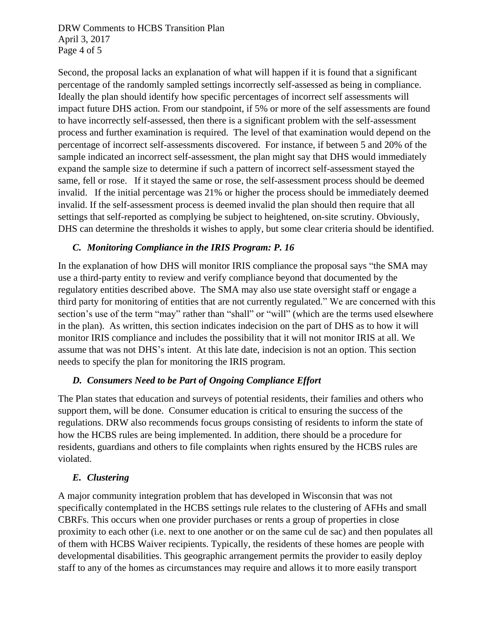DRW Comments to HCBS Transition Plan April 3, 2017 Page 4 of 5

Second, the proposal lacks an explanation of what will happen if it is found that a significant percentage of the randomly sampled settings incorrectly self-assessed as being in compliance. Ideally the plan should identify how specific percentages of incorrect self assessments will impact future DHS action. From our standpoint, if 5% or more of the self assessments are found to have incorrectly self-assessed, then there is a significant problem with the self-assessment process and further examination is required. The level of that examination would depend on the percentage of incorrect self-assessments discovered. For instance, if between 5 and 20% of the sample indicated an incorrect self-assessment, the plan might say that DHS would immediately expand the sample size to determine if such a pattern of incorrect self-assessment stayed the same, fell or rose. If it stayed the same or rose, the self-assessment process should be deemed invalid. If the initial percentage was 21% or higher the process should be immediately deemed invalid. If the self-assessment process is deemed invalid the plan should then require that all settings that self-reported as complying be subject to heightened, on-site scrutiny. Obviously, DHS can determine the thresholds it wishes to apply, but some clear criteria should be identified.

#### *C. Monitoring Compliance in the IRIS Program: P. 16*

In the explanation of how DHS will monitor IRIS compliance the proposal says "the SMA may use a third-party entity to review and verify compliance beyond that documented by the regulatory entities described above. The SMA may also use state oversight staff or engage a third party for monitoring of entities that are not currently regulated." We are concerned with this section's use of the term "may" rather than "shall" or "will" (which are the terms used elsewhere in the plan). As written, this section indicates indecision on the part of DHS as to how it will monitor IRIS compliance and includes the possibility that it will not monitor IRIS at all. We assume that was not DHS's intent. At this late date, indecision is not an option. This section needs to specify the plan for monitoring the IRIS program.

#### *D. Consumers Need to be Part of Ongoing Compliance Effort*

The Plan states that education and surveys of potential residents, their families and others who support them, will be done. Consumer education is critical to ensuring the success of the regulations. DRW also recommends focus groups consisting of residents to inform the state of how the HCBS rules are being implemented. In addition, there should be a procedure for residents, guardians and others to file complaints when rights ensured by the HCBS rules are violated.

### *E. Clustering*

A major community integration problem that has developed in Wisconsin that was not specifically contemplated in the HCBS settings rule relates to the clustering of AFHs and small CBRFs. This occurs when one provider purchases or rents a group of properties in close proximity to each other (i.e. next to one another or on the same cul de sac) and then populates all of them with HCBS Waiver recipients. Typically, the residents of these homes are people with developmental disabilities. This geographic arrangement permits the provider to easily deploy staff to any of the homes as circumstances may require and allows it to more easily transport